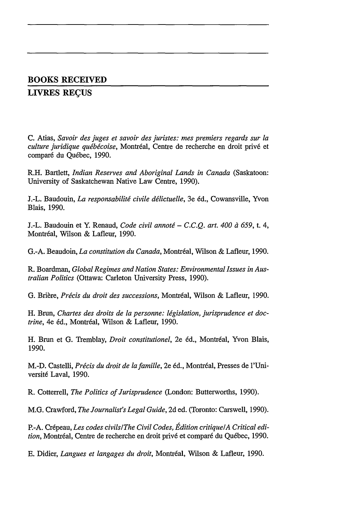## **BOOKS RECEIVED**

## **LIVRES RECUS**

**C.** Atias, *Savoir des juges et savoir des juristes: mes premiers regards sur la culture juridique québécoise*, Montréal, Centre de recherche en droit privé et comparé du Québec, 1990.

R.H. Bartlett, *Indian Reserves and Aboriginal Lands in Canada* (Saskatoon: University of Saskatchewan Native Law Centre, 1990).

J.-L. Baudouin, *La responsabilité civile délictuelle*, 3e éd., Cowansville, Yvon Blais, 1990.

J.-L. Baudouin et Y. Renaud, *Code civil annoté - C.C.Q. art. 400 à 659*, t. 4, Montréal, Wilson & Lafleur, 1990.

G.-A. Beaudoin, *La constitution du Canada*, Montréal, Wilson & Lafleur, 1990.

R. Boardman, *Global Regimes and Nation States: Environmental Issues in Australian Politics* (Ottawa: Carleton University Press, 1990).

G. Brière, *Précis du droit des successions*, Montréal, Wilson & Lafleur, 1990.

H. Brun, Chartes des droits de la personne: législation, jurisprudence et doc*trine*, 4e éd., Montréal, Wilson & Lafleur, 1990.

H. Brun et G. Tremblay, *Droit constitutionel*, 2e éd., Montréal, Yvon Blais, 1990.

M.-D. Castelli, Précis du droit de la famille, 2e éd., Montréal, Presses de l'Université Laval, 1990.

R. Cotterrell, *The Politics of Jurisprudence* (London: Butterworths, 1990).

M.G. Crawford, *The Journalist's Legal Guide,* 2d ed. (Toronto: Carswell, 1990).

P.-A. Cr6peau, *Les codes civils/The Civil Codes, Edition critique/A Critical edi*tion, Montréal, Centre de recherche en droit privé et comparé du Québec, 1990.

E. Didier, *Langues et langages du droit,* Montr6al, Wilson & Lafleur, 1990.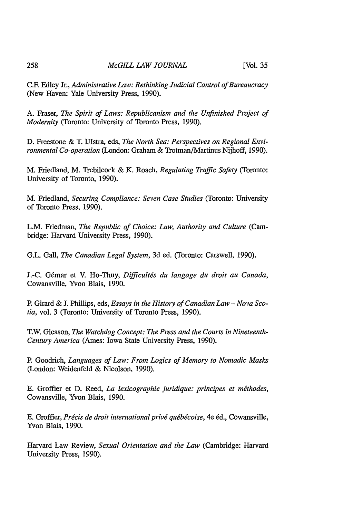C.F. Edley Jr., *Administrative Law: Rethinking Judicial Control of Bureaucracy* (New Haven: Yale University Press, 1990).

A. Fraser, *The Spirit of Laws: Republicanism and the Unfinished Project of Modernity* (Toronto: University of Toronto Press, 1990).

D. Freestone & T. IJlstra, eds, *The North Sea: Perspectives on Regional Environmental Co-operation* (London: Graham & Trotman/Martinus Nijhoff, 1990).

M. Friedland, M. Trebilcock & K. Roach, *Regulating Traffic Safety* (Toronto: University of Toronto, 1990).

M. Friedland, *Securing Compliance: Seven Case Studies* (Toronto: University of Toronto Press, 1990).

L.M. Friedman, *The Republic of Choice: Law, Authority and Culture* (Cambridge: Harvard University Press, 1990).

G.L. Gall, *The Canadian Legal System,* 3d ed. (Toronto: Carswell, 1990).

J.-C. G6mar et V. Ho-Thuy, *Difficultis du langage du droit au Canada,* Cowansville, Yvon Blais, 1990.

P. Girard & J. Phillips, eds, *Essays in the History of Canadian Law - Nova Scotia,* vol. 3 (Toronto: University of Toronto Press, 1990).

T.W. Gleason, *The Watchdog Concept: The Press and the Courts in Nineteenth-Century America* (Ames: Iowa State University Press, 1990).

P. Goodrich, *Languages of Law: From Logics of Memory to Nomadic Masks* (London: Weidenfeld & Nicolson, 1990).

E. Groffier et D. Reed, *La lexicographie juridique: principes et méthodes*, Cowansville, Yvon Blais, 1990.

E. Groffier, *Pricis de droit international privi quebjcoise,* 4e 6d., Cowansville, Yvon Blais, 1990.

Harvard Law Review, *Sexual Orientation and the Law* (Cambridge: Harvard University Press, 1990).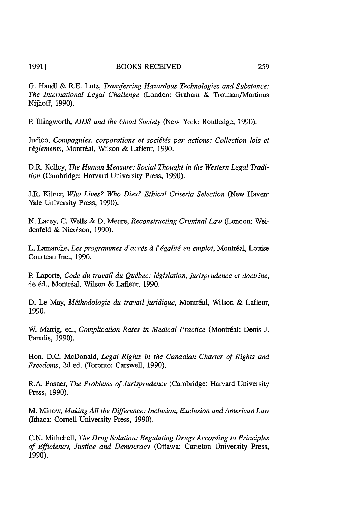## 1991] BOOKS RECEIVED 259

G. Handl & R.E. Lutz, *Transferring Hazardous Technologies and Substance: The International Legal Challenge* (London: Graham & Trotman/Martinus Nijhoff, 1990).

P. Illingworth, *AIDS and the Good Society* (New York: Routledge, 1990).

Judico, *Compagnies, corporations et sociétés par actions: Collection lois et*  $r$ *èglements, Montréal, Wilson & Lafleur, 1990.* 

D.R. Kelley, *The Human Measure: Social Thought in the Western Legal Tradition* (Cambridge: Harvard University Press, 1990).

J.R. Kilner, *Who Lives? Who Dies? Ethical Criteria Selection* (New Haven: Yale University Press, 1990).

N. Lacey, C. Wells & D. Meure, *Reconstructing Criminal Law* (London: Weidenfeld & Nicolson, 1990).

L. Lamarche, *Les programmes d'accès à l'égalité en emploi*, Montréal, Louise Courteau Inc., 1990.

P. Laporte, *Code du travail du Québec: législation, jurisprudence et doctrine*, 4e éd., Montréal, Wilson & Lafleur, 1990.

D. Le May, *Méthodologie du travail juridique*, Montréal, Wilson & Lafleur, 1990.

W. Mattig, ed., *Complication Rates in Medical Practice* (Montréal: Denis J. Paradis, 1990).

Hon. D.C. McDonald, *Legal Rights in the Canadian Charter of Rights and Freedoms,* 2d ed. (Toronto: Carswell, 1990).

R.A. Posner, *The Problems of Jurisprudence* (Cambridge: Harvard University Press, 1990).

M. Minow, *Making All the Difference: Inclusion, Exclusion and American Law* (Ithaca: Cornell University Press, 1990).

C.N. Mithchell, *The Drug Solution: Regulating Drugs According to Principles of Efficiency, Justice and Democracy* (Ottawa: Carleton University Press, 1990).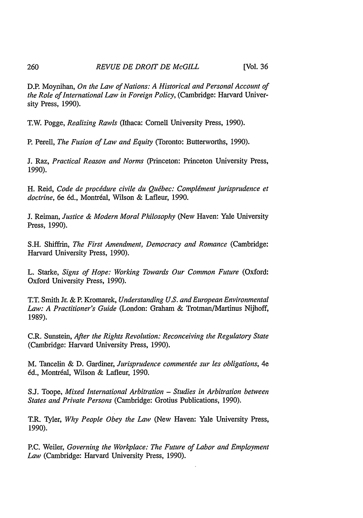D.P. Moynihan, *On the Law of Nations: A Historical and Personal Account of the Role of International Law in Foreign Policy,* (Cambridge: Harvard University Press, 1990).

T.W. Pogge, *Realizing Rawls* (Ithaca: Cornell University Press, 1990).

P. Perell, *The Fusion of Law and Equity* (Toronto: Butterworths, 1990).

J. Raz, *Practical Reason and Norms* (Princeton: Princeton University Press, 1990).

H. Reid, Code de procédure civile du Québec: Complément jurisprudence et doctrine, 6e éd., Montréal, Wilson & Lafleur, 1990.

J. Reiman, *Justice & Modern Moral Philosophy* (New Haven: Yale University Press, 1990).

S.H. Shiffrin, *The First Amendment, Democracy and Romance* (Cambridge: Harvard University Press, 1990).

L. Starke, *Signs of Hope: Working Towards Our Common Future (Oxford:* Oxford University Press, 1990).

T.T. Smith Jr. & P. Kromarek, *Understanding U.S. and European Environmental Law: A Practitioner's Guide* (London: Graham & Trotman/Martinus Nijhoff, 1989).

C.R. Sunstein, *After the Rights Revolution: Reconceiving the Regulatory State* (Cambridge: Harvard University Press, 1990).

M. Tancelin & D. Gardiner, *Jurisprudence commentge sur les obligations,* 4e 6d., Montreal, Wilson & Lafleur, 1990.

**S.J** Toope, *Mixed International Arbitration* - *Studies in Arbitration between States and Private Persons* (Cambridge: Grotius Publications, 1990).

T.R. Tyler, *Why People Obey the Law* (New Haven: Yale University Press, 1990).

P.C. Weiler, *Governing the Workplace: The Future of Labor and Employment Law* (Cambridge: Harvard University Press, 1990).